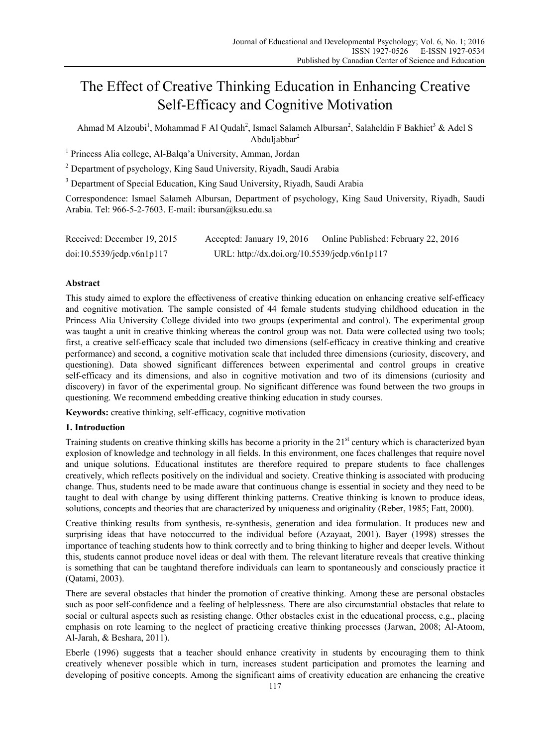# The Effect of Creative Thinking Education in Enhancing Creative Self-Efficacy and Cognitive Motivation

Ahmad M Alzoubi<sup>1</sup>, Mohammad F Al Qudah<sup>2</sup>, Ismael Salameh Albursan<sup>2</sup>, Salaheldin F Bakhiet<sup>3</sup> & Adel S Abduljabbar<sup>2</sup>

<sup>1</sup> Princess Alia college, Al-Balqa'a University, Amman, Jordan

<sup>2</sup> Department of psychology, King Saud University, Riyadh, Saudi Arabia

<sup>3</sup> Department of Special Education, King Saud University, Riyadh, Saudi Arabia

Correspondence: Ismael Salameh Albursan, Department of psychology, King Saud University, Riyadh, Saudi Arabia. Tel: 966-5-2-7603. E-mail: ibursan@ksu.edu.sa

| Received: December 19, 2015 | Accepted: January 19, 2016                   | Online Published: February 22, 2016 |
|-----------------------------|----------------------------------------------|-------------------------------------|
| doi:10.5539/jedp.v6n1p117   | URL: http://dx.doi.org/10.5539/jedp.v6n1p117 |                                     |

# **Abstract**

This study aimed to explore the effectiveness of creative thinking education on enhancing creative self-efficacy and cognitive motivation. The sample consisted of 44 female students studying childhood education in the Princess Alia University College divided into two groups (experimental and control). The experimental group was taught a unit in creative thinking whereas the control group was not. Data were collected using two tools; first, a creative self-efficacy scale that included two dimensions (self-efficacy in creative thinking and creative performance) and second, a cognitive motivation scale that included three dimensions (curiosity, discovery, and questioning). Data showed significant differences between experimental and control groups in creative self-efficacy and its dimensions, and also in cognitive motivation and two of its dimensions (curiosity and discovery) in favor of the experimental group. No significant difference was found between the two groups in questioning. We recommend embedding creative thinking education in study courses.

**Keywords:** creative thinking, self-efficacy, cognitive motivation

# **1. Introduction**

Training students on creative thinking skills has become a priority in the 21<sup>st</sup> century which is characterized byan explosion of knowledge and technology in all fields. In this environment, one faces challenges that require novel and unique solutions. Educational institutes are therefore required to prepare students to face challenges creatively, which reflects positively on the individual and society. Creative thinking is associated with producing change. Thus, students need to be made aware that continuous change is essential in society and they need to be taught to deal with change by using different thinking patterns. Creative thinking is known to produce ideas, solutions, concepts and theories that are characterized by uniqueness and originality (Reber, 1985; Fatt, 2000).

Creative thinking results from synthesis, re-synthesis, generation and idea formulation. It produces new and surprising ideas that have notoccurred to the individual before (Azayaat, 2001). Bayer (1998) stresses the importance of teaching students how to think correctly and to bring thinking to higher and deeper levels. Without this, students cannot produce novel ideas or deal with them. The relevant literature reveals that creative thinking is something that can be taughtand therefore individuals can learn to spontaneously and consciously practice it (Qatami, 2003).

There are several obstacles that hinder the promotion of creative thinking. Among these are personal obstacles such as poor self-confidence and a feeling of helplessness. There are also circumstantial obstacles that relate to social or cultural aspects such as resisting change. Other obstacles exist in the educational process, e.g., placing emphasis on rote learning to the neglect of practicing creative thinking processes (Jarwan, 2008; Al-Atoom, Al-Jarah, & Beshara, 2011).

Eberle (1996) suggests that a teacher should enhance creativity in students by encouraging them to think creatively whenever possible which in turn, increases student participation and promotes the learning and developing of positive concepts. Among the significant aims of creativity education are enhancing the creative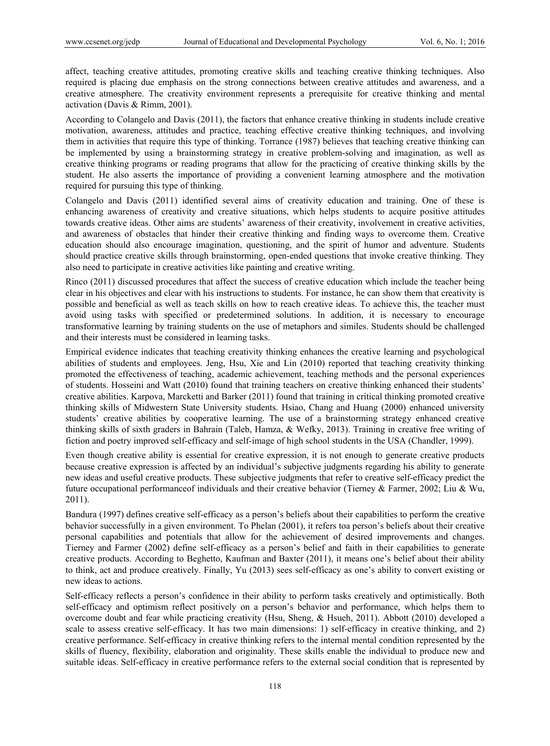affect, teaching creative attitudes, promoting creative skills and teaching creative thinking techniques. Also required is placing due emphasis on the strong connections between creative attitudes and awareness, and a creative atmosphere. The creativity environment represents a prerequisite for creative thinking and mental activation (Davis & Rimm, 2001).

According to Colangelo and Davis (2011), the factors that enhance creative thinking in students include creative motivation, awareness, attitudes and practice, teaching effective creative thinking techniques, and involving them in activities that require this type of thinking. Torrance (1987) believes that teaching creative thinking can be implemented by using a brainstorming strategy in creative problem-solving and imagination, as well as creative thinking programs or reading programs that allow for the practicing of creative thinking skills by the student. He also asserts the importance of providing a convenient learning atmosphere and the motivation required for pursuing this type of thinking.

Colangelo and Davis (2011) identified several aims of creativity education and training. One of these is enhancing awareness of creativity and creative situations, which helps students to acquire positive attitudes towards creative ideas. Other aims are students' awareness of their creativity, involvement in creative activities, and awareness of obstacles that hinder their creative thinking and finding ways to overcome them. Creative education should also encourage imagination, questioning, and the spirit of humor and adventure. Students should practice creative skills through brainstorming, open-ended questions that invoke creative thinking. They also need to participate in creative activities like painting and creative writing.

Rinco (2011) discussed procedures that affect the success of creative education which include the teacher being clear in his objectives and clear with his instructions to students. For instance, he can show them that creativity is possible and beneficial as well as teach skills on how to reach creative ideas. To achieve this, the teacher must avoid using tasks with specified or predetermined solutions. In addition, it is necessary to encourage transformative learning by training students on the use of metaphors and similes. Students should be challenged and their interests must be considered in learning tasks.

Empirical evidence indicates that teaching creativity thinking enhances the creative learning and psychological abilities of students and employees. Jeng, Hsu, Xie and Lin (2010) reported that teaching creativity thinking promoted the effectiveness of teaching, academic achievement, teaching methods and the personal experiences of students. Hosseini and Watt (2010) found that training teachers on creative thinking enhanced their students' creative abilities. Karpova, Marcketti and Barker (2011) found that training in critical thinking promoted creative thinking skills of Midwestern State University students. Hsiao, Chang and Huang (2000) enhanced university students' creative abilities by cooperative learning. The use of a brainstorming strategy enhanced creative thinking skills of sixth graders in Bahrain (Taleb, Hamza, & Wefky, 2013). Training in creative free writing of fiction and poetry improved self-efficacy and self-image of high school students in the USA (Chandler, 1999).

Even though creative ability is essential for creative expression, it is not enough to generate creative products because creative expression is affected by an individual's subjective judgments regarding his ability to generate new ideas and useful creative products. These subjective judgments that refer to creative self-efficacy predict the future occupational performanceof individuals and their creative behavior (Tierney & Farmer, 2002; Liu & Wu, 2011).

Bandura (1997) defines creative self-efficacy as a person's beliefs about their capabilities to perform the creative behavior successfully in a given environment. To Phelan (2001), it refers toa person's beliefs about their creative personal capabilities and potentials that allow for the achievement of desired improvements and changes. Tierney and Farmer (2002) define self-efficacy as a person's belief and faith in their capabilities to generate creative products. According to Beghetto, Kaufman and Baxter (2011), it means one's belief about their ability to think, act and produce creatively. Finally, Yu (2013) sees self-efficacy as one's ability to convert existing or new ideas to actions.

Self-efficacy reflects a person's confidence in their ability to perform tasks creatively and optimistically. Both self-efficacy and optimism reflect positively on a person's behavior and performance, which helps them to overcome doubt and fear while practicing creativity (Hsu, Sheng, & Hsueh, 2011). Abbott (2010) developed a scale to assess creative self-efficacy. It has two main dimensions: 1) self-efficacy in creative thinking, and 2) creative performance. Self-efficacy in creative thinking refers to the internal mental condition represented by the skills of fluency, flexibility, elaboration and originality. These skills enable the individual to produce new and suitable ideas. Self-efficacy in creative performance refers to the external social condition that is represented by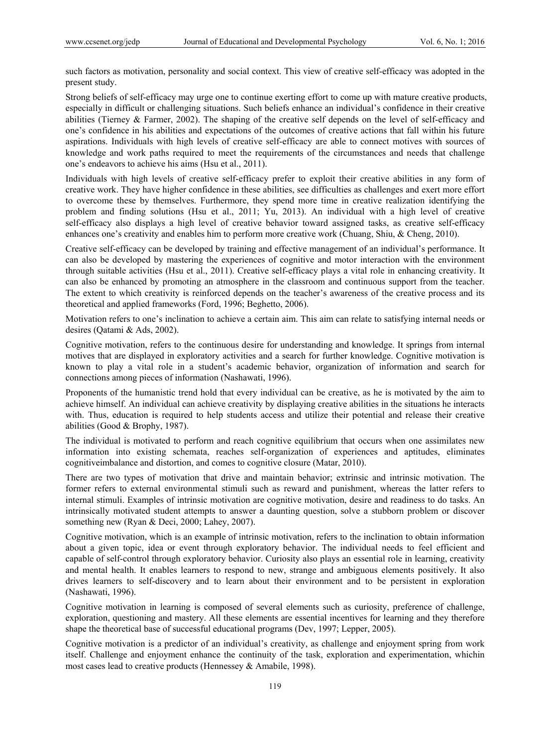such factors as motivation, personality and social context. This view of creative self-efficacy was adopted in the present study.

Strong beliefs of self-efficacy may urge one to continue exerting effort to come up with mature creative products, especially in difficult or challenging situations. Such beliefs enhance an individual's confidence in their creative abilities (Tierney & Farmer, 2002). The shaping of the creative self depends on the level of self-efficacy and one's confidence in his abilities and expectations of the outcomes of creative actions that fall within his future aspirations. Individuals with high levels of creative self-efficacy are able to connect motives with sources of knowledge and work paths required to meet the requirements of the circumstances and needs that challenge one's endeavors to achieve his aims (Hsu et al., 2011).

Individuals with high levels of creative self-efficacy prefer to exploit their creative abilities in any form of creative work. They have higher confidence in these abilities, see difficulties as challenges and exert more effort to overcome these by themselves. Furthermore, they spend more time in creative realization identifying the problem and finding solutions (Hsu et al., 2011; Yu, 2013). An individual with a high level of creative self-efficacy also displays a high level of creative behavior toward assigned tasks, as creative self-efficacy enhances one's creativity and enables him to perform more creative work (Chuang, Shiu, & Cheng, 2010).

Creative self-efficacy can be developed by training and effective management of an individual's performance. It can also be developed by mastering the experiences of cognitive and motor interaction with the environment through suitable activities (Hsu et al., 2011). Creative self-efficacy plays a vital role in enhancing creativity. It can also be enhanced by promoting an atmosphere in the classroom and continuous support from the teacher. The extent to which creativity is reinforced depends on the teacher's awareness of the creative process and its theoretical and applied frameworks (Ford, 1996; Beghetto, 2006).

Motivation refers to one's inclination to achieve a certain aim. This aim can relate to satisfying internal needs or desires (Qatami & Ads, 2002).

Cognitive motivation, refers to the continuous desire for understanding and knowledge. It springs from internal motives that are displayed in exploratory activities and a search for further knowledge. Cognitive motivation is known to play a vital role in a student's academic behavior, organization of information and search for connections among pieces of information (Nashawati, 1996).

Proponents of the humanistic trend hold that every individual can be creative, as he is motivated by the aim to achieve himself. An individual can achieve creativity by displaying creative abilities in the situations he interacts with. Thus, education is required to help students access and utilize their potential and release their creative abilities (Good & Brophy, 1987).

The individual is motivated to perform and reach cognitive equilibrium that occurs when one assimilates new information into existing schemata, reaches self-organization of experiences and aptitudes, eliminates cognitiveimbalance and distortion, and comes to cognitive closure (Matar, 2010).

There are two types of motivation that drive and maintain behavior; extrinsic and intrinsic motivation. The former refers to external environmental stimuli such as reward and punishment, whereas the latter refers to internal stimuli. Examples of intrinsic motivation are cognitive motivation, desire and readiness to do tasks. An intrinsically motivated student attempts to answer a daunting question, solve a stubborn problem or discover something new (Ryan & Deci, 2000; Lahey, 2007).

Cognitive motivation, which is an example of intrinsic motivation, refers to the inclination to obtain information about a given topic, idea or event through exploratory behavior. The individual needs to feel efficient and capable of self-control through exploratory behavior. Curiosity also plays an essential role in learning, creativity and mental health. It enables learners to respond to new, strange and ambiguous elements positively. It also drives learners to self-discovery and to learn about their environment and to be persistent in exploration (Nashawati, 1996).

Cognitive motivation in learning is composed of several elements such as curiosity, preference of challenge, exploration, questioning and mastery. All these elements are essential incentives for learning and they therefore shape the theoretical base of successful educational programs (Dev, 1997; Lepper, 2005).

Cognitive motivation is a predictor of an individual's creativity, as challenge and enjoyment spring from work itself. Challenge and enjoyment enhance the continuity of the task, exploration and experimentation, whichin most cases lead to creative products (Hennessey & Amabile, 1998).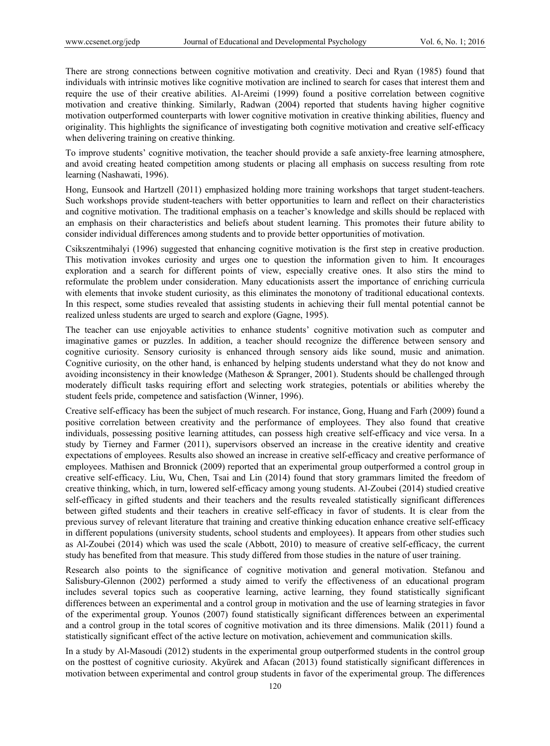There are strong connections between cognitive motivation and creativity. Deci and Ryan (1985) found that individuals with intrinsic motives like cognitive motivation are inclined to search for cases that interest them and require the use of their creative abilities. Al-Areimi (1999) found a positive correlation between cognitive motivation and creative thinking. Similarly, Radwan (2004) reported that students having higher cognitive motivation outperformed counterparts with lower cognitive motivation in creative thinking abilities, fluency and originality. This highlights the significance of investigating both cognitive motivation and creative self-efficacy when delivering training on creative thinking.

To improve students' cognitive motivation, the teacher should provide a safe anxiety-free learning atmosphere, and avoid creating heated competition among students or placing all emphasis on success resulting from rote learning (Nashawati, 1996).

Hong, Eunsook and Hartzell (2011) emphasized holding more training workshops that target student-teachers. Such workshops provide student-teachers with better opportunities to learn and reflect on their characteristics and cognitive motivation. The traditional emphasis on a teacher's knowledge and skills should be replaced with an emphasis on their characteristics and beliefs about student learning. This promotes their future ability to consider individual differences among students and to provide better opportunities of motivation.

Csikszentmihalyi (1996) suggested that enhancing cognitive motivation is the first step in creative production. This motivation invokes curiosity and urges one to question the information given to him. It encourages exploration and a search for different points of view, especially creative ones. It also stirs the mind to reformulate the problem under consideration. Many educationists assert the importance of enriching curricula with elements that invoke student curiosity, as this eliminates the monotony of traditional educational contexts. In this respect, some studies revealed that assisting students in achieving their full mental potential cannot be realized unless students are urged to search and explore (Gagne, 1995).

The teacher can use enjoyable activities to enhance students' cognitive motivation such as computer and imaginative games or puzzles. In addition, a teacher should recognize the difference between sensory and cognitive curiosity. Sensory curiosity is enhanced through sensory aids like sound, music and animation. Cognitive curiosity, on the other hand, is enhanced by helping students understand what they do not know and avoiding inconsistency in their knowledge (Matheson & Spranger, 2001). Students should be challenged through moderately difficult tasks requiring effort and selecting work strategies, potentials or abilities whereby the student feels pride, competence and satisfaction (Winner, 1996).

Creative self-efficacy has been the subject of much research. For instance, Gong, Huang and Farh (2009) found a positive correlation between creativity and the performance of employees. They also found that creative individuals, possessing positive learning attitudes, can possess high creative self-efficacy and vice versa. In a study by Tierney and Farmer (2011), supervisors observed an increase in the creative identity and creative expectations of employees. Results also showed an increase in creative self-efficacy and creative performance of employees. Mathisen and Bronnick (2009) reported that an experimental group outperformed a control group in creative self-efficacy. Liu, Wu, Chen, Tsai and Lin (2014) found that story grammars limited the freedom of creative thinking, which, in turn, lowered self-efficacy among young students. Al-Zoubei (2014) studied creative self-efficacy in gifted students and their teachers and the results revealed statistically significant differences between gifted students and their teachers in creative self-efficacy in favor of students. It is clear from the previous survey of relevant literature that training and creative thinking education enhance creative self-efficacy in different populations (university students, school students and employees). It appears from other studies such as Al-Zoubei (2014) which was used the scale (Abbott, 2010) to measure of creative self-efficacy, the current study has benefited from that measure. This study differed from those studies in the nature of user training.

Research also points to the significance of cognitive motivation and general motivation. Stefanou and Salisbury-Glennon (2002) performed a study aimed to verify the effectiveness of an educational program includes several topics such as cooperative learning, active learning, they found statistically significant differences between an experimental and a control group in motivation and the use of learning strategies in favor of the experimental group. Younos (2007) found statistically significant differences between an experimental and a control group in the total scores of cognitive motivation and its three dimensions. Malik (2011) found a statistically significant effect of the active lecture on motivation, achievement and communication skills.

In a study by Al-Masoudi (2012) students in the experimental group outperformed students in the control group on the posttest of cognitive curiosity. Akyürek and Afacan (2013) found statistically significant differences in motivation between experimental and control group students in favor of the experimental group. The differences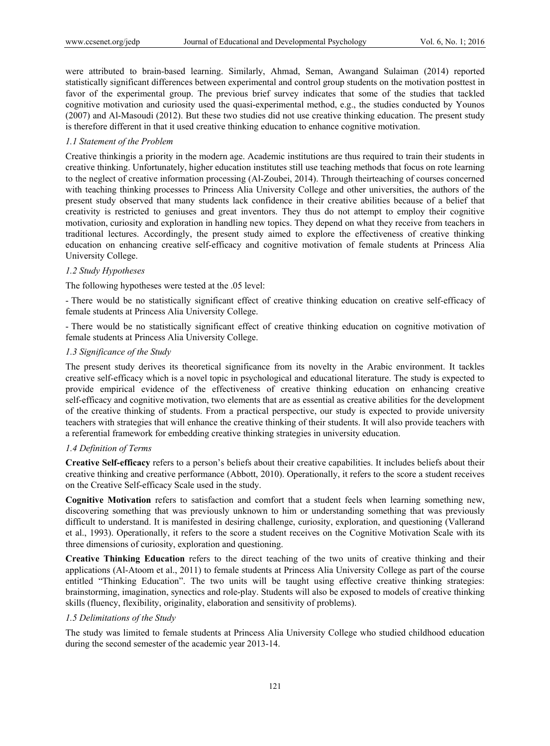were attributed to brain-based learning. Similarly, Ahmad, Seman, Awangand Sulaiman (2014) reported statistically significant differences between experimental and control group students on the motivation posttest in favor of the experimental group. The previous brief survey indicates that some of the studies that tackled cognitive motivation and curiosity used the quasi-experimental method, e.g., the studies conducted by Younos (2007) and Al-Masoudi (2012). But these two studies did not use creative thinking education. The present study is therefore different in that it used creative thinking education to enhance cognitive motivation.

# *1.1 Statement of the Problem*

Creative thinkingis a priority in the modern age. Academic institutions are thus required to train their students in creative thinking. Unfortunately, higher education institutes still use teaching methods that focus on rote learning to the neglect of creative information processing (Al-Zoubei, 2014). Through theirteaching of courses concerned with teaching thinking processes to Princess Alia University College and other universities, the authors of the present study observed that many students lack confidence in their creative abilities because of a belief that creativity is restricted to geniuses and great inventors. They thus do not attempt to employ their cognitive motivation, curiosity and exploration in handling new topics. They depend on what they receive from teachers in traditional lectures. Accordingly, the present study aimed to explore the effectiveness of creative thinking education on enhancing creative self-efficacy and cognitive motivation of female students at Princess Alia University College.

#### *1.2 Study Hypotheses*

The following hypotheses were tested at the .05 level:

- There would be no statistically significant effect of creative thinking education on creative self-efficacy of female students at Princess Alia University College.

- There would be no statistically significant effect of creative thinking education on cognitive motivation of female students at Princess Alia University College.

## *1.3 Significance of the Study*

The present study derives its theoretical significance from its novelty in the Arabic environment. It tackles creative self-efficacy which is a novel topic in psychological and educational literature. The study is expected to provide empirical evidence of the effectiveness of creative thinking education on enhancing creative self-efficacy and cognitive motivation, two elements that are as essential as creative abilities for the development of the creative thinking of students. From a practical perspective, our study is expected to provide university teachers with strategies that will enhance the creative thinking of their students. It will also provide teachers with a referential framework for embedding creative thinking strategies in university education.

## *1.4 Definition of Terms*

**Creative Self-efficacy** refers to a person's beliefs about their creative capabilities. It includes beliefs about their creative thinking and creative performance (Abbott, 2010). Operationally, it refers to the score a student receives on the Creative Self-efficacy Scale used in the study.

**Cognitive Motivation** refers to satisfaction and comfort that a student feels when learning something new, discovering something that was previously unknown to him or understanding something that was previously difficult to understand. It is manifested in desiring challenge, curiosity, exploration, and questioning (Vallerand et al., 1993). Operationally, it refers to the score a student receives on the Cognitive Motivation Scale with its three dimensions of curiosity, exploration and questioning.

**Creative Thinking Education** refers to the direct teaching of the two units of creative thinking and their applications (Al-Atoom et al., 2011) to female students at Princess Alia University College as part of the course entitled "Thinking Education". The two units will be taught using effective creative thinking strategies: brainstorming, imagination, synectics and role-play. Students will also be exposed to models of creative thinking skills (fluency, flexibility, originality, elaboration and sensitivity of problems).

#### *1.5 Delimitations of the Study*

The study was limited to female students at Princess Alia University College who studied childhood education during the second semester of the academic year 2013-14.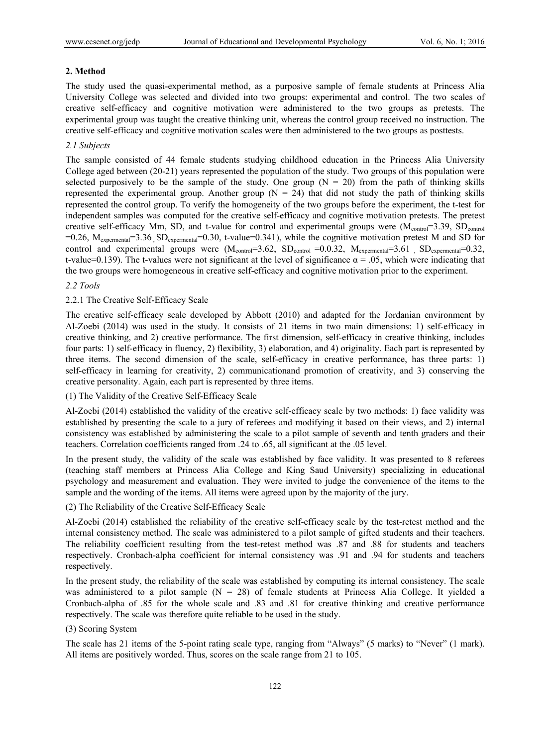## **2. Method**

The study used the quasi-experimental method, as a purposive sample of female students at Princess Alia University College was selected and divided into two groups: experimental and control. The two scales of creative self-efficacy and cognitive motivation were administered to the two groups as pretests. The experimental group was taught the creative thinking unit, whereas the control group received no instruction. The creative self-efficacy and cognitive motivation scales were then administered to the two groups as posttests.

# *2.1 Subjects*

The sample consisted of 44 female students studying childhood education in the Princess Alia University College aged between (20-21) years represented the population of the study. Two groups of this population were selected purposively to be the sample of the study. One group  $(N = 20)$  from the path of thinking skills represented the experimental group. Another group ( $N = 24$ ) that did not study the path of thinking skills represented the control group. To verify the homogeneity of the two groups before the experiment, the t-test for independent samples was computed for the creative self-efficacy and cognitive motivation pretests. The pretest creative self-efficacy Mm, SD, and t-value for control and experimental groups were (Mcontrol=3.39, SDcontrol  $=0.26$ , M<sub>expermental</sub> $=3.36$ , SD<sub>expermental</sub> $=0.30$ , t-value $=0.341$ ), while the cognitive motivation pretest M and SD for control and experimental groups were  $(M_{control}=3.62, SD_{control}=0.0.32, M_{experimental}=3.61, SD_{experimental}=0.32,$ t-value=0.139). The t-values were not significant at the level of significance  $\alpha$  = .05, which were indicating that the two groups were homogeneous in creative self-efficacy and cognitive motivation prior to the experiment.

## *2.2 Tools*

## 2.2.1 The Creative Self-Efficacy Scale

The creative self-efficacy scale developed by Abbott (2010) and adapted for the Jordanian environment by Al-Zoebi (2014) was used in the study. It consists of 21 items in two main dimensions: 1) self-efficacy in creative thinking, and 2) creative performance. The first dimension, self-efficacy in creative thinking, includes four parts: 1) self-efficacy in fluency, 2) flexibility, 3) elaboration, and 4) originality. Each part is represented by three items. The second dimension of the scale, self-efficacy in creative performance, has three parts: 1) self-efficacy in learning for creativity, 2) communicationand promotion of creativity, and 3) conserving the creative personality. Again, each part is represented by three items.

## (1) The Validity of the Creative Self-Efficacy Scale

Al-Zoebi (2014) established the validity of the creative self-efficacy scale by two methods: 1) face validity was established by presenting the scale to a jury of referees and modifying it based on their views, and 2) internal consistency was established by administering the scale to a pilot sample of seventh and tenth graders and their teachers. Correlation coefficients ranged from .24 to .65, all significant at the .05 level.

In the present study, the validity of the scale was established by face validity. It was presented to 8 referees (teaching staff members at Princess Alia College and King Saud University) specializing in educational psychology and measurement and evaluation. They were invited to judge the convenience of the items to the sample and the wording of the items. All items were agreed upon by the majority of the jury.

#### (2) The Reliability of the Creative Self-Efficacy Scale

Al-Zoebi (2014) established the reliability of the creative self-efficacy scale by the test-retest method and the internal consistency method. The scale was administered to a pilot sample of gifted students and their teachers. The reliability coefficient resulting from the test-retest method was .87 and .88 for students and teachers respectively. Cronbach-alpha coefficient for internal consistency was .91 and .94 for students and teachers respectively.

In the present study, the reliability of the scale was established by computing its internal consistency. The scale was administered to a pilot sample  $(N = 28)$  of female students at Princess Alia College. It yielded a Cronbach-alpha of .85 for the whole scale and .83 and .81 for creative thinking and creative performance respectively. The scale was therefore quite reliable to be used in the study.

# (3) Scoring System

The scale has 21 items of the 5-point rating scale type, ranging from "Always" (5 marks) to "Never" (1 mark). All items are positively worded. Thus, scores on the scale range from 21 to 105.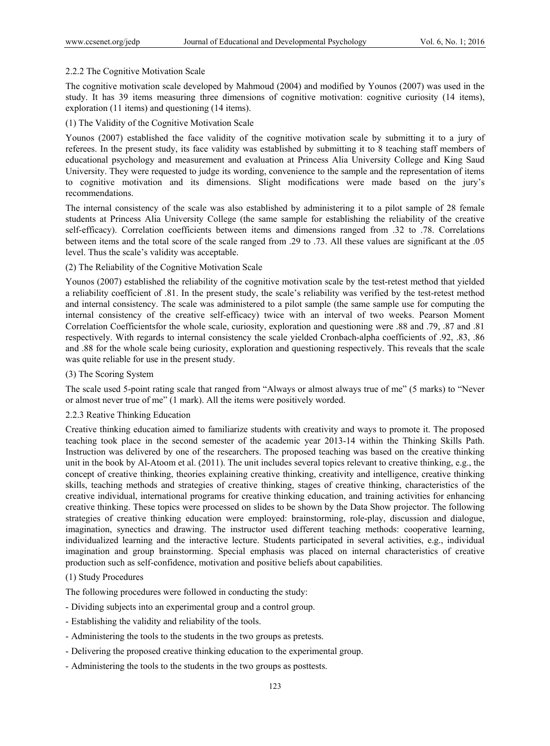# 2.2.2 The Cognitive Motivation Scale

The cognitive motivation scale developed by Mahmoud (2004) and modified by Younos (2007) was used in the study. It has 39 items measuring three dimensions of cognitive motivation: cognitive curiosity (14 items), exploration (11 items) and questioning (14 items).

# (1) The Validity of the Cognitive Motivation Scale

Younos (2007) established the face validity of the cognitive motivation scale by submitting it to a jury of referees. In the present study, its face validity was established by submitting it to 8 teaching staff members of educational psychology and measurement and evaluation at Princess Alia University College and King Saud University. They were requested to judge its wording, convenience to the sample and the representation of items to cognitive motivation and its dimensions. Slight modifications were made based on the jury's recommendations.

The internal consistency of the scale was also established by administering it to a pilot sample of 28 female students at Princess Alia University College (the same sample for establishing the reliability of the creative self-efficacy). Correlation coefficients between items and dimensions ranged from .32 to .78. Correlations between items and the total score of the scale ranged from .29 to .73. All these values are significant at the .05 level. Thus the scale's validity was acceptable.

# (2) The Reliability of the Cognitive Motivation Scale

Younos (2007) established the reliability of the cognitive motivation scale by the test-retest method that yielded a reliability coefficient of .81. In the present study, the scale's reliability was verified by the test-retest method and internal consistency. The scale was administered to a pilot sample (the same sample use for computing the internal consistency of the creative self-efficacy) twice with an interval of two weeks. Pearson Moment Correlation Coefficientsfor the whole scale, curiosity, exploration and questioning were .88 and .79, .87 and .81 respectively. With regards to internal consistency the scale yielded Cronbach-alpha coefficients of .92, .83, .86 and .88 for the whole scale being curiosity, exploration and questioning respectively. This reveals that the scale was quite reliable for use in the present study.

# (3) The Scoring System

The scale used 5-point rating scale that ranged from "Always or almost always true of me" (5 marks) to "Never or almost never true of me" (1 mark). All the items were positively worded.

# 2.2.3 Reative Thinking Education

Creative thinking education aimed to familiarize students with creativity and ways to promote it. The proposed teaching took place in the second semester of the academic year 2013-14 within the Thinking Skills Path. Instruction was delivered by one of the researchers. The proposed teaching was based on the creative thinking unit in the book by Al-Atoom et al. (2011). The unit includes several topics relevant to creative thinking, e.g., the concept of creative thinking, theories explaining creative thinking, creativity and intelligence, creative thinking skills, teaching methods and strategies of creative thinking, stages of creative thinking, characteristics of the creative individual, international programs for creative thinking education, and training activities for enhancing creative thinking. These topics were processed on slides to be shown by the Data Show projector. The following strategies of creative thinking education were employed: brainstorming, role-play, discussion and dialogue, imagination, synectics and drawing. The instructor used different teaching methods: cooperative learning, individualized learning and the interactive lecture. Students participated in several activities, e.g., individual imagination and group brainstorming. Special emphasis was placed on internal characteristics of creative production such as self-confidence, motivation and positive beliefs about capabilities.

# (1) Study Procedures

The following procedures were followed in conducting the study:

- Dividing subjects into an experimental group and a control group.
- Establishing the validity and reliability of the tools.
- Administering the tools to the students in the two groups as pretests.
- Delivering the proposed creative thinking education to the experimental group.
- Administering the tools to the students in the two groups as posttests.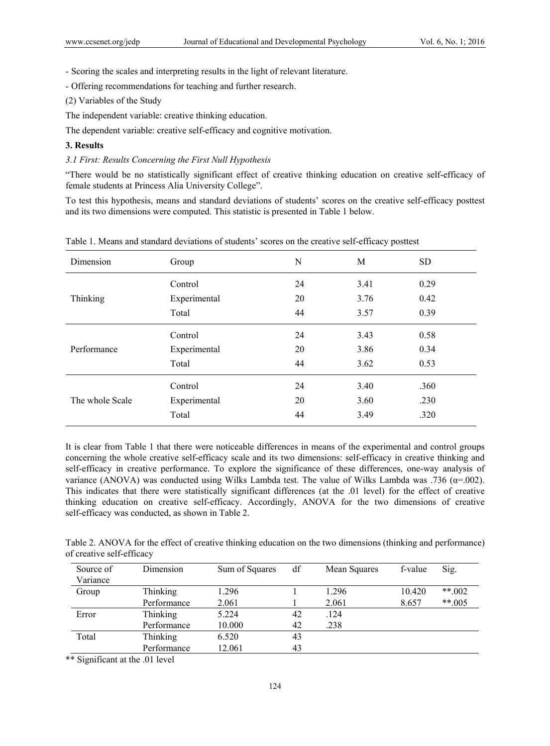- Scoring the scales and interpreting results in the light of relevant literature.

- Offering recommendations for teaching and further research.

(2) Variables of the Study

The independent variable: creative thinking education.

The dependent variable: creative self-efficacy and cognitive motivation.

# **3. Results**

#### *3.1 First: Results Concerning the First Null Hypothesis*

"There would be no statistically significant effect of creative thinking education on creative self-efficacy of female students at Princess Alia University College".

To test this hypothesis, means and standard deviations of students' scores on the creative self-efficacy posttest and its two dimensions were computed. This statistic is presented in Table 1 below.

| Dimension       | Group        | N  | M    | <b>SD</b> |
|-----------------|--------------|----|------|-----------|
|                 | Control      | 24 | 3.41 | 0.29      |
| Thinking        | Experimental | 20 | 3.76 | 0.42      |
|                 | Total        | 44 | 3.57 | 0.39      |
| Performance     | Control      | 24 | 3.43 | 0.58      |
|                 | Experimental | 20 | 3.86 | 0.34      |
|                 | Total        | 44 | 3.62 | 0.53      |
| The whole Scale | Control      | 24 | 3.40 | .360      |
|                 | Experimental | 20 | 3.60 | .230      |
|                 | Total        | 44 | 3.49 | .320      |

Table 1. Means and standard deviations of students' scores on the creative self-efficacy posttest

It is clear from Table 1 that there were noticeable differences in means of the experimental and control groups concerning the whole creative self-efficacy scale and its two dimensions: self-efficacy in creative thinking and self-efficacy in creative performance. To explore the significance of these differences, one-way analysis of variance (ANOVA) was conducted using Wilks Lambda test. The value of Wilks Lambda was .736 ( $\alpha$ =.002). This indicates that there were statistically significant differences (at the .01 level) for the effect of creative thinking education on creative self-efficacy. Accordingly, ANOVA for the two dimensions of creative self-efficacy was conducted, as shown in Table 2.

Table 2. ANOVA for the effect of creative thinking education on the two dimensions (thinking and performance) of creative self-efficacy

| Source of<br>Variance | Dimension   | Sum of Squares | df | Mean Squares | f-value | Sig.      |
|-----------------------|-------------|----------------|----|--------------|---------|-----------|
| Group                 | Thinking    | 1.296          |    | 1.296        | 10.420  | **.002    |
|                       | Performance | 2.061          |    | 2.061        | 8.657   | $***.005$ |
| Error                 | Thinking    | 5.224          | 42 | .124         |         |           |
|                       | Performance | 10.000         | 42 | .238         |         |           |
| Total                 | Thinking    | 6.520          | 43 |              |         |           |
|                       | Performance | 12.061         | 43 |              |         |           |

\*\* Significant at the .01 level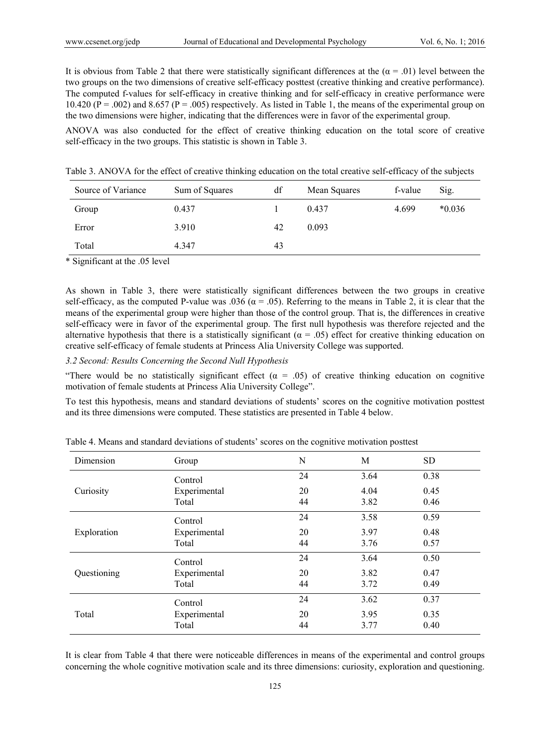It is obvious from Table 2 that there were statistically significant differences at the  $(\alpha = .01)$  level between the two groups on the two dimensions of creative self-efficacy posttest (creative thinking and creative performance). The computed f-values for self-efficacy in creative thinking and for self-efficacy in creative performance were 10.420 ( $P = .002$ ) and 8.657 ( $P = .005$ ) respectively. As listed in Table 1, the means of the experimental group on the two dimensions were higher, indicating that the differences were in favor of the experimental group.

ANOVA was also conducted for the effect of creative thinking education on the total score of creative self-efficacy in the two groups. This statistic is shown in Table 3.

| Source of Variance | Sum of Squares | df | Mean Squares | f-value | Sig.     |
|--------------------|----------------|----|--------------|---------|----------|
| Group              | 0.437          |    | 0.437        | 4.699   | $*0.036$ |
| Error              | 3.910          | 42 | 0.093        |         |          |
| Total              | 4.347          | 43 |              |         |          |

Table 3. ANOVA for the effect of creative thinking education on the total creative self-efficacy of the subjects

\* Significant at the .05 level

As shown in Table 3, there were statistically significant differences between the two groups in creative self-efficacy, as the computed P-value was .036 ( $\alpha$  = .05). Referring to the means in Table 2, it is clear that the means of the experimental group were higher than those of the control group. That is, the differences in creative self-efficacy were in favor of the experimental group. The first null hypothesis was therefore rejected and the alternative hypothesis that there is a statistically significant ( $\alpha$  = .05) effect for creative thinking education on creative self-efficacy of female students at Princess Alia University College was supported.

*3.2 Second: Results Concerning the Second Null Hypothesis* 

"There would be no statistically significant effect ( $\alpha$  = .05) of creative thinking education on cognitive motivation of female students at Princess Alia University College".

To test this hypothesis, means and standard deviations of students' scores on the cognitive motivation posttest and its three dimensions were computed. These statistics are presented in Table 4 below.

| Dimension   | Group        | N  | M    | <b>SD</b> |
|-------------|--------------|----|------|-----------|
|             | Control      | 24 | 3.64 | 0.38      |
| Curiosity   | Experimental | 20 | 4.04 | 0.45      |
|             | Total        | 44 | 3.82 | 0.46      |
|             | Control      | 24 | 3.58 | 0.59      |
| Exploration | Experimental | 20 | 3.97 | 0.48      |
|             | Total        | 44 | 3.76 | 0.57      |
|             | Control      | 24 | 3.64 | 0.50      |
| Questioning | Experimental | 20 | 3.82 | 0.47      |
|             | Total        | 44 | 3.72 | 0.49      |
| Total       | Control      | 24 | 3.62 | 0.37      |
|             | Experimental | 20 | 3.95 | 0.35      |
|             | Total        | 44 | 3.77 | 0.40      |

Table 4. Means and standard deviations of students' scores on the cognitive motivation posttest

It is clear from Table 4 that there were noticeable differences in means of the experimental and control groups concerning the whole cognitive motivation scale and its three dimensions: curiosity, exploration and questioning.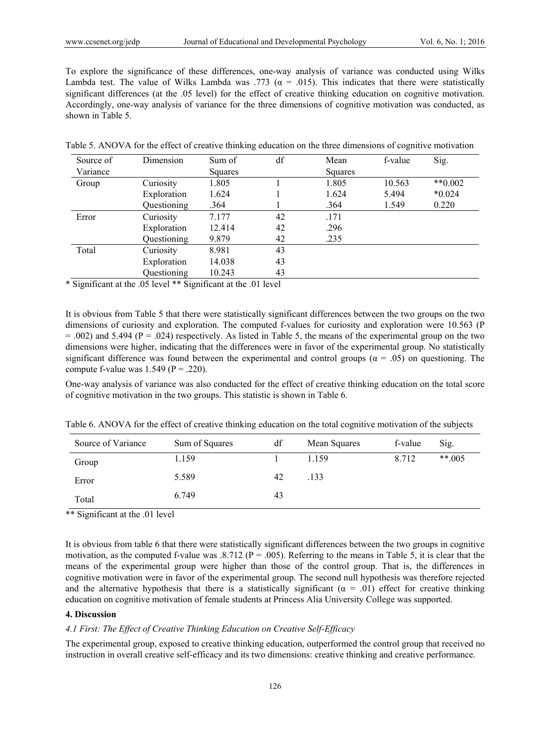To explore the significance of these differences, one-way analysis of variance was conducted using Wilks Lambda test. The value of Wilks Lambda was .773 ( $\alpha$  = .015). This indicates that there were statistically significant differences (at the .05 level) for the effect of creative thinking education on cognitive motivation. Accordingly, one-way analysis of variance for the three dimensions of cognitive motivation was conducted, as shown in Table 5.

| Source of | Dimension   | Sum of  | df | Mean    | f-value | Sig.      |
|-----------|-------------|---------|----|---------|---------|-----------|
| Variance  |             | Squares |    | Squares |         |           |
| Group     | Curiosity   | 1.805   |    | 1.805   | 10.563  | $**0.002$ |
|           | Exploration | 1.624   |    | 1.624   | 5.494   | $*0.024$  |
|           | Questioning | .364    |    | .364    | 1.549   | 0.220     |
| Error     | Curiosity   | 7.177   | 42 | .171    |         |           |
|           | Exploration | 12.414  | 42 | .296    |         |           |
|           | Questioning | 9.879   | 42 | .235    |         |           |
| Total     | Curiosity   | 8.981   | 43 |         |         |           |
|           | Exploration | 14.038  | 43 |         |         |           |
|           | Questioning | 10.243  | 43 |         |         |           |

Table 5. ANOVA for the effect of creative thinking education on the three dimensions of cognitive motivation

\* Significant at the .05 level \*\* Significant at the .01 level

It is obvious from Table 5 that there were statistically significant differences between the two groups on the two dimensions of curiosity and exploration. The computed f-values for curiosity and exploration were 10.563 (P  $= .002$ ) and 5.494 (P = .024) respectively. As listed in Table 5, the means of the experimental group on the two dimensions were higher, indicating that the differences were in favor of the experimental group. No statistically significant difference was found between the experimental and control groups ( $\alpha$  = .05) on questioning. The compute f-value was  $1.549$  (P = .220).

One-way analysis of variance was also conducted for the effect of creative thinking education on the total score of cognitive motivation in the two groups. This statistic is shown in Table 6.

| Source of Variance | Sum of Squares | df | Mean Squares | f-value | Sig.      |
|--------------------|----------------|----|--------------|---------|-----------|
| Group              | 1.159          |    | 1 159        | 8.712   | $***.005$ |
| Error              | 5.589          | 42 | .133         |         |           |
| Total              | 6.749          | 43 |              |         |           |

Table 6. ANOVA for the effect of creative thinking education on the total cognitive motivation of the subjects

\*\* Significant at the .01 level

It is obvious from table 6 that there were statistically significant differences between the two groups in cognitive motivation, as the computed f-value was .8.712 ( $P = .005$ ). Referring to the means in Table 5, it is clear that the means of the experimental group were higher than those of the control group. That is, the differences in cognitive motivation were in favor of the experimental group. The second null hypothesis was therefore rejected and the alternative hypothesis that there is a statistically significant ( $\alpha$  = .01) effect for creative thinking education on cognitive motivation of female students at Princess Alia University College was supported.

## **4. Discussion**

## *4.1 First: The Effect of Creative Thinking Education on Creative Self-Efficacy*

The experimental group, exposed to creative thinking education, outperformed the control group that received no instruction in overall creative self-efficacy and its two dimensions: creative thinking and creative performance.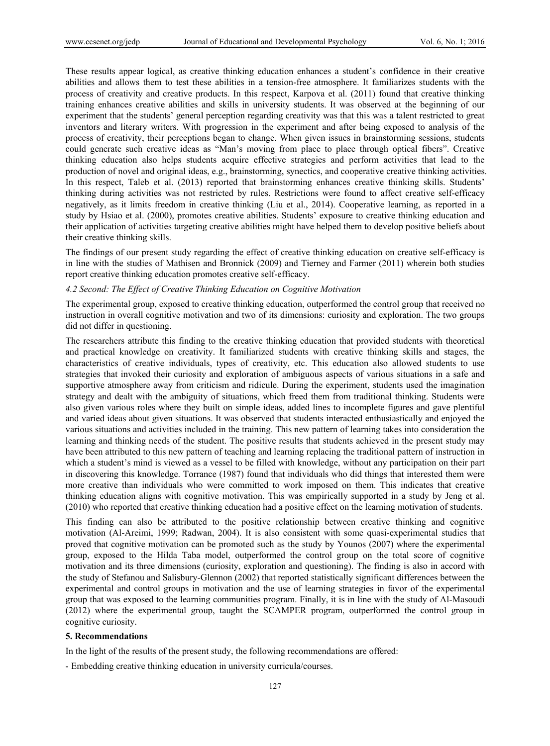These results appear logical, as creative thinking education enhances a student's confidence in their creative abilities and allows them to test these abilities in a tension-free atmosphere. It familiarizes students with the process of creativity and creative products. In this respect, Karpova et al. (2011) found that creative thinking training enhances creative abilities and skills in university students. It was observed at the beginning of our experiment that the students' general perception regarding creativity was that this was a talent restricted to great inventors and literary writers. With progression in the experiment and after being exposed to analysis of the process of creativity, their perceptions began to change. When given issues in brainstorming sessions, students could generate such creative ideas as "Man's moving from place to place through optical fibers". Creative thinking education also helps students acquire effective strategies and perform activities that lead to the production of novel and original ideas, e.g., brainstorming, synectics, and cooperative creative thinking activities. In this respect, Taleb et al. (2013) reported that brainstorming enhances creative thinking skills. Students' thinking during activities was not restricted by rules. Restrictions were found to affect creative self-efficacy negatively, as it limits freedom in creative thinking (Liu et al., 2014). Cooperative learning, as reported in a study by Hsiao et al. (2000), promotes creative abilities. Students' exposure to creative thinking education and their application of activities targeting creative abilities might have helped them to develop positive beliefs about their creative thinking skills.

The findings of our present study regarding the effect of creative thinking education on creative self-efficacy is in line with the studies of Mathisen and Bronnick (2009) and Tierney and Farmer (2011) wherein both studies report creative thinking education promotes creative self-efficacy.

# *4.2 Second: The Effect of Creative Thinking Education on Cognitive Motivation*

The experimental group, exposed to creative thinking education, outperformed the control group that received no instruction in overall cognitive motivation and two of its dimensions: curiosity and exploration. The two groups did not differ in questioning.

The researchers attribute this finding to the creative thinking education that provided students with theoretical and practical knowledge on creativity. It familiarized students with creative thinking skills and stages, the characteristics of creative individuals, types of creativity, etc. This education also allowed students to use strategies that invoked their curiosity and exploration of ambiguous aspects of various situations in a safe and supportive atmosphere away from criticism and ridicule. During the experiment, students used the imagination strategy and dealt with the ambiguity of situations, which freed them from traditional thinking. Students were also given various roles where they built on simple ideas, added lines to incomplete figures and gave plentiful and varied ideas about given situations. It was observed that students interacted enthusiastically and enjoyed the various situations and activities included in the training. This new pattern of learning takes into consideration the learning and thinking needs of the student. The positive results that students achieved in the present study may have been attributed to this new pattern of teaching and learning replacing the traditional pattern of instruction in which a student's mind is viewed as a vessel to be filled with knowledge, without any participation on their part in discovering this knowledge. Torrance (1987) found that individuals who did things that interested them were more creative than individuals who were committed to work imposed on them. This indicates that creative thinking education aligns with cognitive motivation. This was empirically supported in a study by Jeng et al. (2010) who reported that creative thinking education had a positive effect on the learning motivation of students.

This finding can also be attributed to the positive relationship between creative thinking and cognitive motivation (Al-Areimi, 1999; Radwan, 2004). It is also consistent with some quasi-experimental studies that proved that cognitive motivation can be promoted such as the study by Younos (2007) where the experimental group, exposed to the Hilda Taba model, outperformed the control group on the total score of cognitive motivation and its three dimensions (curiosity, exploration and questioning). The finding is also in accord with the study of Stefanou and Salisbury-Glennon (2002) that reported statistically significant differences between the experimental and control groups in motivation and the use of learning strategies in favor of the experimental group that was exposed to the learning communities program. Finally, it is in line with the study of Al-Masoudi (2012) where the experimental group, taught the SCAMPER program, outperformed the control group in cognitive curiosity.

## **5. Recommendations**

In the light of the results of the present study, the following recommendations are offered:

- Embedding creative thinking education in university curricula/courses.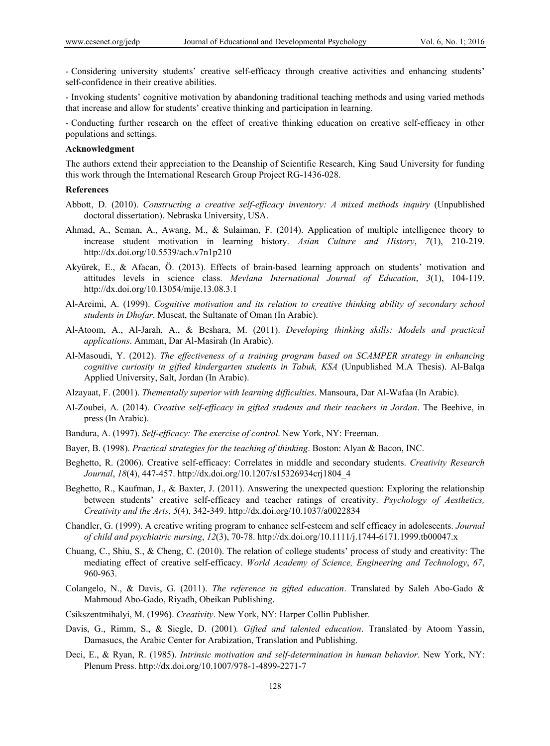- Considering university students' creative self-efficacy through creative activities and enhancing students' self-confidence in their creative abilities.

- Invoking students' cognitive motivation by abandoning traditional teaching methods and using varied methods that increase and allow for students' creative thinking and participation in learning.

- Conducting further research on the effect of creative thinking education on creative self-efficacy in other populations and settings.

## **Acknowledgment**

The authors extend their appreciation to the Deanship of Scientific Research, King Saud University for funding this work through the International Research Group Project RG-1436-028.

## **References**

- Abbott, D. (2010). *Constructing a creative self-efficacy inventory: A mixed methods inquiry* (Unpublished doctoral dissertation). Nebraska University, USA.
- Ahmad, A., Seman, A., Awang, M., & Sulaiman, F. (2014). Application of multiple intelligence theory to increase student motivation in learning history. *Asian Culture and History*, *7*(1), 210-219. http://dx.doi.org/10.5539/ach.v7n1p210
- Akyürek, E., & Afacan, Ö. (2013). Effects of brain-based learning approach on students' motivation and attitudes levels in science class. *Mevlana International Journal of Education*, *3*(1), 104-119. http://dx.doi.org/10.13054/mije.13.08.3.1
- Al-Areimi, A. (1999). *Cognitive motivation and its relation to creative thinking ability of secondary school students in Dhofar*. Muscat, the Sultanate of Oman (In Arabic).
- Al-Atoom, A., Al-Jarah, A., & Beshara, M. (2011). *Developing thinking skills: Models and practical applications*. Amman, Dar Al-Masirah (In Arabic).
- Al-Masoudi, Y. (2012). *The effectiveness of a training program based on SCAMPER strategy in enhancing cognitive curiosity in gifted kindergarten students in Tabuk, KSA* (Unpublished M.A Thesis). Al-Balqa Applied University, Salt, Jordan (In Arabic).
- Alzayaat, F. (2001). *Thementally superior with learning difficulties*. Mansoura, Dar Al-Wafaa (In Arabic).
- Al-Zoubei, A. (2014). *Creative self-efficacy in gifted students and their teachers in Jordan*. The Beehive, in press (In Arabic).
- Bandura, A. (1997). *Self-efficacy: The exercise of control*. New York, NY: Freeman.
- Bayer, B. (1998). *Practical strategies for the teaching of thinking*. Boston: Alyan & Bacon, INC.
- Beghetto, R. (2006). Creative self-efficacy: Correlates in middle and secondary students. *Creativity Research Journal*, *18*(4), 447-457. http://dx.doi.org/10.1207/s15326934crj1804\_4
- Beghetto, R., Kaufman, J., & Baxter, J. (2011). Answering the unexpected question: Exploring the relationship between students' creative self-efficacy and teacher ratings of creativity. *Psychology of Aesthetics, Creativity and the Arts*, *5*(4), 342-349. http://dx.doi.org/10.1037/a0022834

Chandler, G. (1999). A creative writing program to enhance self-esteem and self efficacy in adolescents. *Journal of child and psychiatric nursing*, *12*(3), 70-78. http://dx.doi.org/10.1111/j.1744-6171.1999.tb00047.x

- Chuang, C., Shiu, S., & Cheng, C. (2010). The relation of college students' process of study and creativity: The mediating effect of creative self-efficacy. *World Academy of Science, Engineering and Technology*, *67*, 960-963.
- Colangelo, N., & Davis, G. (2011). *The reference in gifted education*. Translated by Saleh Abo-Gado & Mahmoud Abo-Gado, Riyadh, Obeikan Publishing.
- Csikszentmihalyi, M. (1996). *Creativity*. New York, NY: Harper Collin Publisher.
- Davis, G., Rimm, S., & Siegle, D. (2001)*. Gifted and talented education*. Translated by Atoom Yassin, Damasucs, the Arabic Center for Arabization, Translation and Publishing.
- Deci, E., & Ryan, R. (1985). *Intrinsic motivation and self-determination in human behavior*. New York, NY: Plenum Press. http://dx.doi.org/10.1007/978-1-4899-2271-7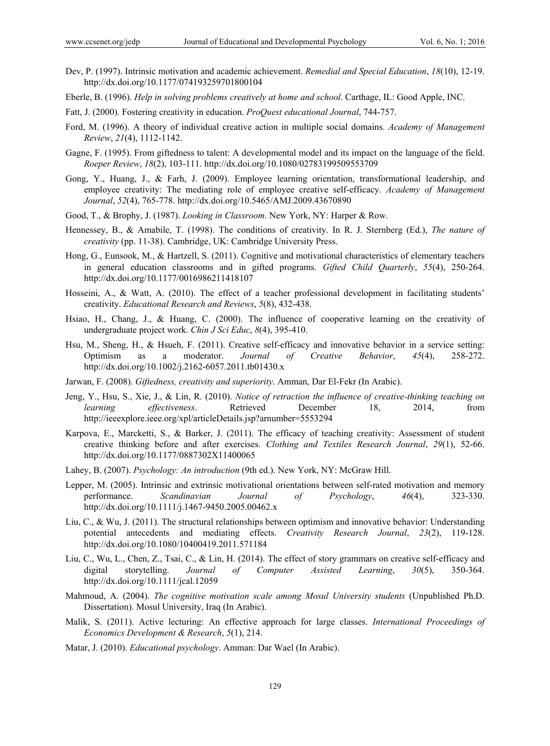- Dev, P. (1997). Intrinsic motivation and academic achievement. *Remedial and Special Education*, *18*(10), 12-19. http://dx.doi.org/10.1177/074193259701800104
- Eberle, B. (1996). *Help in solving problems creatively at home and school*. Carthage, IL: Good Apple, INC.
- Fatt, J. (2000). Fostering creativity in education. *ProQuest educational Journal*, 744-757.
- Ford, M. (1996). A theory of individual creative action in multiple social domains. *Academy of Management Review*, *21*(4), 1112-1142.
- Gagne, F. (1995). From giftedness to talent: A developmental model and its impact on the language of the field. *Roeper Review*, *18*(2), 103-111. http://dx.doi.org/10.1080/02783199509553709
- Gong, Y., Huang, J., & Farh, J. (2009). Employee learning orientation, transformational leadership, and employee creativity: The mediating role of employee creative self-efficacy. *Academy of Management Journal*, *52*(4), 765-778. http://dx.doi.org/10.5465/AMJ.2009.43670890
- Good, T., & Brophy, J. (1987). *Looking in Classroom*. New York, NY: Harper & Row.
- Hennessey, B., & Amabile, T. (1998). The conditions of creativity. In R. J. Sternberg (Ed.), *The nature of creativity* (pp. 11-38). Cambridge, UK: Cambridge University Press.
- Hong, G., Eunsook, M., & Hartzell, S. (2011). Cognitive and motivational characteristics of elementary teachers in general education classrooms and in gifted programs. *Gifted Child Quarterly*, *55*(4), 250-264. http://dx.doi.org/10.1177/0016986211418107
- Hosseini, A., & Watt, A. (2010). The effect of a teacher professional development in facilitating students' creativity. *Educational Research and Reviews*, *5*(8), 432-438.
- Hsiao, H., Chang, J., & Huang, C. (2000). The influence of cooperative learning on the creativity of undergraduate project work. *Chin J Sci Educ*, *8*(4), 395-410.
- Hsu, M., Sheng, H., & Hsueh, F. (2011). Creative self-efficacy and innovative behavior in a service setting: Optimism as a moderator. *Journal of Creative Behavior*, *45*(4), 258-272. http://dx.doi.org/10.1002/j.2162-6057.2011.tb01430.x
- Jarwan, F. (2008). *Giftedness, creativity and superiority*. Amman, Dar El-Fekr (In Arabic).
- Jeng, Y., Hsu, S., Xie, J., & Lin, R. (2010). *Notice of retraction the influence of creative-thinking teaching on learning effectiveness*. Retrieved December 18, 2014, from http://ieeexplore.ieee.org/xpl/articleDetails.jsp?arnumber=5553294
- Karpova, E., Marcketti, S., & Barker, J. (2011). The efficacy of teaching creativity: Assessment of student creative thinking before and after exercises. *Clothing and Textiles Research Journal*, *29*(1), 52-66. http://dx.doi.org/10.1177/0887302X11400065
- Lahey, B. (2007). *Psychology: An introduction* (9th ed.). New York, NY: McGraw Hill.
- Lepper, M. (2005). Intrinsic and extrinsic motivational orientations between self-rated motivation and memory performance. *Scandinavian Journal of Psychology*, *46*(4), 323-330. http://dx.doi.org/10.1111/j.1467-9450.2005.00462.x
- Liu, C., & Wu, J. (2011). The structural relationships between optimism and innovative behavior: Understanding potential antecedents and mediating effects. *Creativity Research Journal*, *23*(2), 119-128. http://dx.doi.org/10.1080/10400419.2011.571184
- Liu, C., Wu, L., Chen, Z., Tsai, C., & Lin, H. (2014). The effect of story grammars on creative self-efficacy and digital storytelling. *Journal of Computer Assisted Learning*, *30*(5), 350-364. http://dx.doi.org/10.1111/jcal.12059
- Mahmoud, A. (2004). *The cognitive motivation scale among Mosul University students* (Unpublished Ph.D. Dissertation). Mosul University, Iraq (In Arabic).
- Malik, S. (2011). Active lecturing: An effective approach for large classes. *International Proceedings of Economics Development & Research*, *5*(1), 214.
- Matar, J. (2010). *Educational psychology*. Amman: Dar Wael (In Arabic).